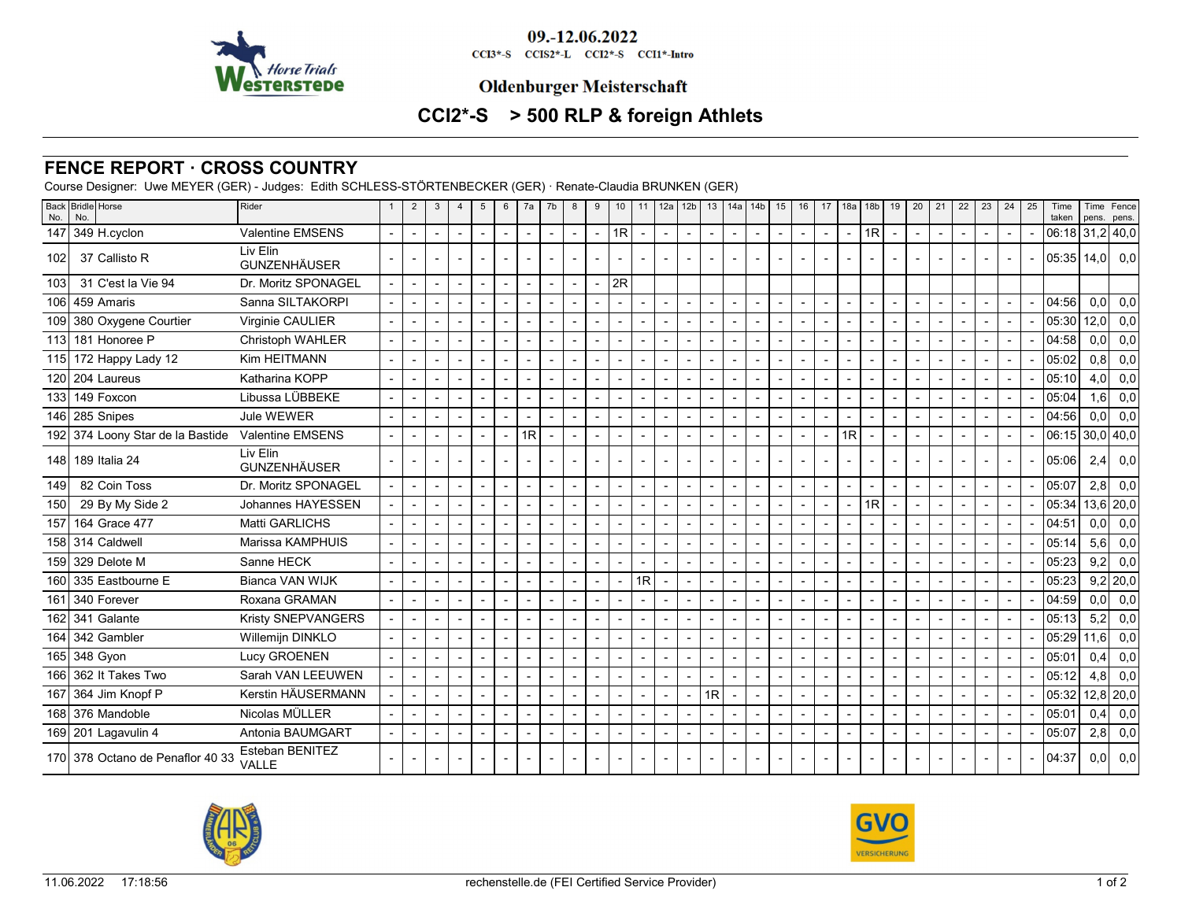

09.-12.06.2022 CCI3\*-S CCIS2\*-L CCI2\*-S CCI1\*-Intro

## **Oldenburger Meisterschaft**

# **CCI2\*-S > 500 RLP & foreign Athlets**

### **FENCE REPORT · CROSS COUNTRY**

Course Designer: Uwe MEYER (GER) - Judges: Edith SCHLESS-STÖRTENBECKER (GER) · Renate-Claudia BRUNKEN (GER)

| No. | Back Bridle Horse<br>No.         | Rider                           |        | $\overline{2}$           | 3 | 4                        | 5 | 6                        | 7a | 7b                       | 8                        | 9                        | 10                       |                | 11   12a   12b           |                          |                |                          |                          |                          |                |                          | 13   14a   14b   15   16   17   18a   18b |                          | $19 \mid 20 \mid 21 \mid 22$ |                          | 23             | 24 | 25 | Time<br>taken   | pens.            | Time   Fence<br>pens. |
|-----|----------------------------------|---------------------------------|--------|--------------------------|---|--------------------------|---|--------------------------|----|--------------------------|--------------------------|--------------------------|--------------------------|----------------|--------------------------|--------------------------|----------------|--------------------------|--------------------------|--------------------------|----------------|--------------------------|-------------------------------------------|--------------------------|------------------------------|--------------------------|----------------|----|----|-----------------|------------------|-----------------------|
|     | 147 349 H.cyclon                 | <b>Valentine EMSENS</b>         |        | $\overline{\phantom{a}}$ |   | $\overline{\phantom{a}}$ |   | $\blacksquare$           |    | $\blacksquare$           | $\overline{\phantom{a}}$ | $\overline{\phantom{a}}$ | 1R                       |                | $\sim$                   | $\overline{\phantom{a}}$ | $\blacksquare$ | $\overline{\phantom{a}}$ | $\overline{\phantom{a}}$ | $\sim$                   | $\blacksquare$ | $\overline{\phantom{a}}$ | 1R                                        | $\overline{\phantom{a}}$ |                              | $\overline{a}$           | $\blacksquare$ |    |    | 06:18 31,2 40,0 |                  |                       |
| 102 | 37 Callisto R                    | Liv Elin<br><b>GUNZENHÄUSER</b> |        |                          |   |                          |   |                          |    |                          |                          |                          |                          |                |                          |                          |                |                          |                          |                          |                |                          |                                           |                          |                              |                          |                |    |    | 05:35 14.0  0.0 |                  |                       |
| 103 | 31 C'est la Vie 94               | Dr. Moritz SPONAGEL             |        | $\overline{\phantom{a}}$ |   | $\blacksquare$           |   | $\sim$                   |    |                          |                          |                          | 2R                       |                |                          |                          |                |                          |                          |                          |                |                          |                                           |                          |                              |                          |                |    |    |                 |                  |                       |
|     | 106 459 Amaris                   | Sanna SILTAKORPI                |        | $\overline{\phantom{a}}$ |   | $\blacksquare$           |   | $\blacksquare$           |    |                          |                          |                          |                          |                |                          |                          |                |                          | $\blacksquare$           | $\blacksquare$           |                | $\mathbf{r}$             |                                           | $\overline{a}$           |                              |                          |                |    |    | 04:56           | 0.01             | 0,0                   |
|     | 109 380 Oxygene Courtier         | Virginie CAULIER                | $\sim$ | $\sim$                   |   | $\overline{\phantom{a}}$ |   | $\sim$                   |    | $\overline{a}$           | $\overline{a}$           | $\overline{a}$           | $\overline{a}$           |                | $\overline{a}$           | $\overline{a}$           | $\overline{a}$ |                          | $\sim$                   | $\sim$                   |                | $\sim$                   |                                           | $\sim$                   |                              | $\blacksquare$           | $\sim$         |    |    | 05:30           | 12,0             | 0,0                   |
|     | 113 181 Honoree P                | Christoph WAHLER                |        | $\blacksquare$           |   | $\blacksquare$           |   | $\blacksquare$           |    |                          |                          |                          |                          |                | $\overline{a}$           | Ĭ.                       |                |                          | $\blacksquare$           | $\blacksquare$           |                | $\blacksquare$           |                                           | $\overline{a}$           |                              |                          |                |    |    | 04:58           | 0.01             | 0,0                   |
|     | 115 172 Happy Lady 12            | Kim HEITMANN                    |        | $\overline{\phantom{a}}$ |   | $\blacksquare$           |   | $\overline{a}$           |    |                          |                          |                          |                          |                |                          |                          |                |                          | $\overline{\phantom{a}}$ | $\overline{a}$           |                | $\blacksquare$           |                                           | $\overline{\phantom{a}}$ |                              |                          |                |    |    | 05:02           | 0,8              | 0,0                   |
|     | 120 204 Laureus                  | Katharina KOPP                  |        | $\blacksquare$           |   | $\blacksquare$           |   |                          |    |                          |                          |                          |                          |                |                          |                          |                |                          | $\overline{\phantom{a}}$ |                          |                |                          |                                           | $\overline{a}$           |                              |                          |                |    |    | 05:10           | 4.0 <sub>l</sub> | 0,0                   |
|     | 133 149 Foxcon                   | Libussa LÜBBEKE                 |        | $\overline{\phantom{a}}$ |   | $\overline{a}$           |   | $\overline{a}$           |    | $\overline{\phantom{a}}$ |                          |                          |                          |                |                          |                          | $\overline{a}$ |                          |                          | $\overline{\phantom{a}}$ |                | $\overline{\phantom{a}}$ |                                           | $\overline{\phantom{a}}$ |                              |                          |                |    |    | 05:04           | 1,6              | 0,0                   |
|     | 146 285 Snipes                   | Jule WEWER                      |        | $\overline{\phantom{a}}$ |   | $\overline{\phantom{a}}$ |   |                          |    |                          |                          |                          |                          |                |                          |                          | $\blacksquare$ |                          |                          |                          |                |                          |                                           | $\blacksquare$           |                              | $\blacksquare$           |                |    |    | 04:56           | 0.0 <sub>l</sub> | 0.0                   |
|     | 192 374 Loony Star de la Bastide | <b>Valentine EMSENS</b>         |        | $\sim$                   |   | $\blacksquare$           |   | $\blacksquare$           | 1R | $\overline{\phantom{a}}$ |                          |                          | $\blacksquare$           |                | $\overline{\phantom{a}}$ | $\blacksquare$           | $\overline{a}$ |                          |                          | $\overline{\phantom{a}}$ |                | 1R                       |                                           | $\sim$                   |                              | $\overline{\phantom{a}}$ |                |    |    | 06:15 30,0 40,0 |                  |                       |
|     | 148 189 Italia 24                | Liv Elin<br><b>GUNZENHÄUSER</b> |        | $\overline{\phantom{a}}$ |   |                          |   |                          |    | $\overline{\phantom{a}}$ |                          |                          |                          |                |                          |                          |                |                          |                          |                          |                |                          |                                           |                          |                              |                          |                |    |    | lo5:06l         | 2,4              | 0,0                   |
| 149 | 82 Coin Toss                     | Dr. Moritz SPONAGEL             |        | $\sim$                   |   | $\blacksquare$           |   |                          |    |                          |                          |                          |                          |                |                          |                          | $\blacksquare$ |                          |                          |                          |                |                          |                                           | $\overline{\phantom{a}}$ |                              | $\overline{\phantom{a}}$ |                |    |    | 05:07           | 2,8              | 0,0                   |
| 150 | 29 By My Side 2                  | Johannes HAYESSEN               |        | $\overline{\phantom{a}}$ |   | $\overline{a}$           |   | $\overline{a}$           |    | $\overline{\phantom{a}}$ |                          |                          |                          |                |                          |                          |                |                          |                          | $\overline{\phantom{a}}$ |                | $\blacksquare$           | l 1R                                      | $\overline{\phantom{a}}$ |                              |                          |                |    |    | 05:34           |                  | 13,6 20,0             |
| 157 | 164 Grace 477                    | Matti GARLICHS                  |        | $\blacksquare$           |   | $\overline{\phantom{a}}$ |   |                          |    |                          |                          |                          |                          |                |                          |                          | $\blacksquare$ |                          |                          |                          |                | $\blacksquare$           |                                           | $\overline{\phantom{a}}$ |                              | $\blacksquare$           |                |    |    | 04:51           | 0,0              | 0,0                   |
|     | 158 314 Caldwell                 | Marissa KAMPHUIS                |        | $\overline{\phantom{a}}$ |   | $\overline{\phantom{a}}$ |   | $\overline{\phantom{a}}$ |    | $\blacksquare$           |                          |                          |                          | $\overline{a}$ | $\overline{\phantom{0}}$ | $\blacksquare$           | $\blacksquare$ |                          |                          | $\overline{\phantom{a}}$ |                | $\overline{\phantom{a}}$ |                                           | $\overline{a}$           |                              |                          |                |    |    | 05:14           | 5.6              | 0,0                   |
|     | 159 329 Delote M                 | Sanne HECK                      |        | $\sim$                   |   |                          |   |                          |    |                          |                          |                          |                          |                | $\sim$                   |                          | $\blacksquare$ |                          | $\blacksquare$           |                          |                |                          |                                           | $\sim$                   |                              |                          |                |    |    | 05:23           | 9,2              | 0,0                   |
|     | 160 335 Eastbourne E             | <b>Bianca VAN WIJK</b>          |        | $\overline{\phantom{a}}$ |   | $\blacksquare$           |   | $\blacksquare$           |    |                          |                          |                          |                          | 1R             | $\overline{a}$           | $\blacksquare$           |                |                          | $\overline{a}$           | $\overline{\phantom{a}}$ |                |                          |                                           | $\overline{\phantom{a}}$ |                              |                          |                |    |    | 05:23           |                  | $9,2$   20,0          |
|     | 161 340 Forever                  | Roxana GRAMAN                   |        | $\overline{\phantom{a}}$ |   |                          |   |                          |    |                          |                          |                          |                          |                |                          |                          |                |                          | $\overline{a}$           |                          |                |                          |                                           | $\overline{\phantom{a}}$ |                              |                          |                |    |    | 04:59           | 0.0 <sub>l</sub> | 0,0                   |
|     | 162 341 Galante                  | Kristy SNEPVANGERS              |        | $\overline{\phantom{a}}$ |   | $\overline{\phantom{a}}$ |   | $\overline{\phantom{a}}$ |    | $\blacksquare$           |                          |                          |                          |                | $\overline{\phantom{a}}$ | $\overline{\phantom{a}}$ |                | $\blacksquare$           | $\blacksquare$           | $\overline{\phantom{a}}$ |                |                          |                                           | $\overline{\phantom{a}}$ |                              |                          |                |    |    | 05:13           | 5.2              | 0,0                   |
|     | 164 342 Gambler                  | Willemijn DINKLO                |        | $\overline{\phantom{a}}$ |   | $\blacksquare$           |   | $\blacksquare$           |    | $\overline{\phantom{a}}$ |                          |                          |                          |                | $\overline{\phantom{a}}$ |                          | $\blacksquare$ |                          | $\overline{\phantom{a}}$ |                          |                | $\blacksquare$           |                                           | $\overline{\phantom{a}}$ |                              | $\blacksquare$           |                |    |    | $05:29$ 11,6    |                  | 0,0                   |
|     | 165 348 Gyon                     | Lucy GROENEN                    |        | $\overline{\phantom{a}}$ |   |                          |   | $\overline{\phantom{a}}$ |    | $\blacksquare$           |                          |                          |                          |                |                          | ÷,                       |                |                          |                          | $\blacksquare$           |                |                          |                                           |                          |                              |                          |                |    |    | 05:01           | 0.4              | 0,0                   |
|     | 166 362 It Takes Two             | Sarah VAN LEEUWEN               |        | $\blacksquare$           |   |                          |   | $\blacksquare$           |    |                          |                          |                          |                          |                |                          |                          |                |                          |                          |                          |                |                          |                                           | $\overline{a}$           |                              |                          |                |    |    | 05:12           | 4,8              | 0,0                   |
|     | 167 364 Jim Knopf P              | Kerstin HÄUSERMANN              |        | $\overline{\phantom{a}}$ |   | $\blacksquare$           |   | $\blacksquare$           |    | $\overline{a}$           |                          |                          | $\overline{\phantom{a}}$ |                |                          | 1R                       |                |                          | $\sim$                   | $\blacksquare$           |                | $\blacksquare$           |                                           | $\overline{\phantom{a}}$ |                              |                          |                |    |    | 05:32           |                  | $12,8$ 20,0           |
|     | 168 376 Mandoble                 | Nicolas MÜLLER                  |        | $\blacksquare$           |   | $\blacksquare$           |   | $\overline{\phantom{a}}$ |    | $\overline{\phantom{a}}$ | $\sim$                   |                          |                          |                | $\overline{\phantom{0}}$ |                          | $\overline{a}$ |                          | $\blacksquare$           | $\overline{\phantom{a}}$ |                | $\blacksquare$           |                                           | $\sim$                   |                              | $\overline{a}$           | $\sim$         |    |    | 05:01           | 0,4              | 0,0                   |
|     | 169 201 Lagavulin 4              | Antonia BAUMGART                |        | $\overline{\phantom{a}}$ |   |                          |   | $\blacksquare$           |    |                          |                          |                          |                          |                |                          |                          |                |                          |                          |                          |                |                          |                                           |                          |                              |                          |                |    |    | 05:07           | 2,8              | 0,0                   |
|     | 170 378 Octano de Penaflor 40 33 | Esteban BENITEZ<br><b>VALLE</b> |        |                          |   |                          |   |                          |    |                          |                          |                          |                          |                |                          |                          |                |                          |                          |                          |                |                          |                                           |                          |                              |                          |                |    |    | 04:37           |                  | $0,0$ 0,0             |